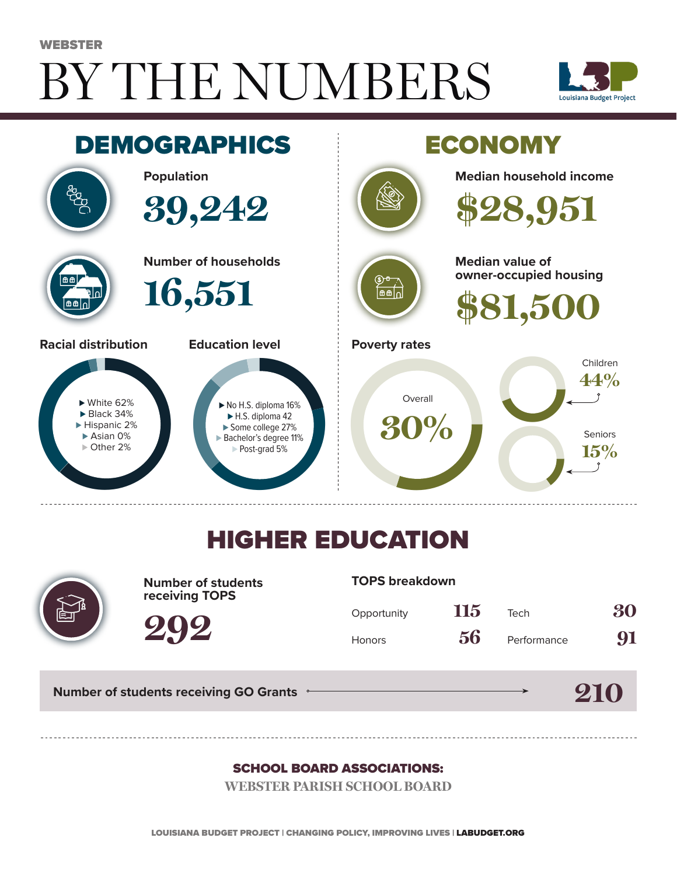# BY THE NUMBERS WEBSTER





## HIGHER EDUCATION



**Number of students receiving TOPS**

**TOPS breakdown**

| Opportunity   | 115 | Tech        | 30 |
|---------------|-----|-------------|----|
| <b>Honors</b> | 56  | Performance | 91 |

**210**

**Number of students receiving GO Grants**

**292**

#### SCHOOL BOARD ASSOCIATIONS:

**WEBSTER PARISH SCHOOL BOARD**